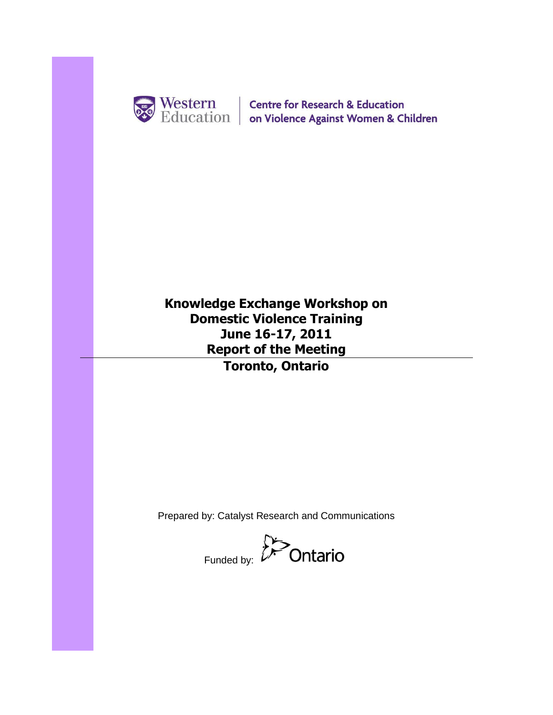

Western | Centre for Research & Education<br>
Education | on Violence Against Women & Children

**Knowledge Exchange Workshop on Domestic Violence Training June 16-17, 2011 Report of the Meeting Toronto, Ontario**

Prepared by: Catalyst Research and Communications

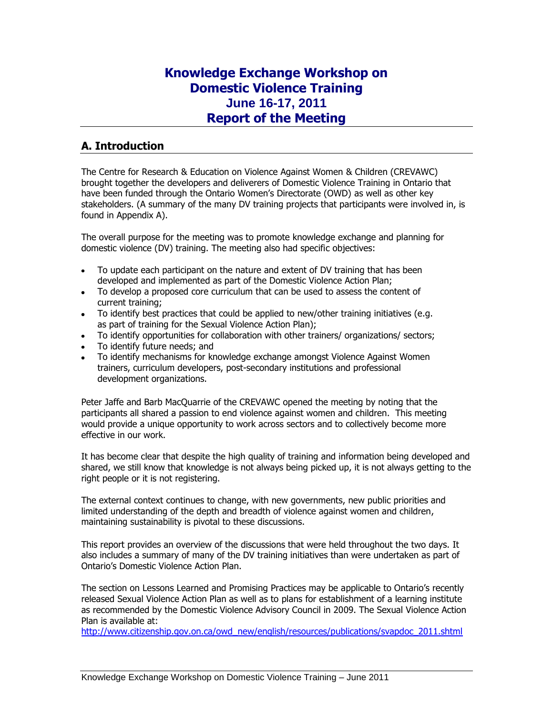## **Knowledge Exchange Workshop on Domestic Violence Training June 16-17, 2011 Report of the Meeting**

## **A. Introduction**

The Centre for Research & Education on Violence Against Women & Children (CREVAWC) brought together the developers and deliverers of Domestic Violence Training in Ontario that have been funded through the Ontario Women's Directorate (OWD) as well as other key stakeholders. (A summary of the many DV training projects that participants were involved in, is found in Appendix A).

The overall purpose for the meeting was to promote knowledge exchange and planning for domestic violence (DV) training. The meeting also had specific objectives:

- To update each participant on the nature and extent of DV training that has been developed and implemented as part of the Domestic Violence Action Plan;
- To develop a proposed core curriculum that can be used to assess the content of current training;
- To identify best practices that could be applied to new/other training initiatives (e.g. as part of training for the Sexual Violence Action Plan);
- To identify opportunities for collaboration with other trainers/ organizations/ sectors;
- To identify future needs; and
- To identify mechanisms for knowledge exchange amongst Violence Against Women trainers, curriculum developers, post-secondary institutions and professional development organizations.

Peter Jaffe and Barb MacQuarrie of the CREVAWC opened the meeting by noting that the participants all shared a passion to end violence against women and children. This meeting would provide a unique opportunity to work across sectors and to collectively become more effective in our work.

It has become clear that despite the high quality of training and information being developed and shared, we still know that knowledge is not always being picked up, it is not always getting to the right people or it is not registering.

The external context continues to change, with new governments, new public priorities and limited understanding of the depth and breadth of violence against women and children, maintaining sustainability is pivotal to these discussions.

This report provides an overview of the discussions that were held throughout the two days. It also includes a summary of many of the DV training initiatives than were undertaken as part of Ontario's Domestic Violence Action Plan.

The section on Lessons Learned and Promising Practices may be applicable to Ontario's recently released Sexual Violence Action Plan as well as to plans for establishment of a learning institute as recommended by the Domestic Violence Advisory Council in 2009. The Sexual Violence Action Plan is available at:

[http://www.citizenship.gov.on.ca/owd\\_new/english/resources/publications/svapdoc\\_2011.shtml](http://www.citizenship.gov.on.ca/owd_new/english/resources/publications/svapdoc_2011.shtml)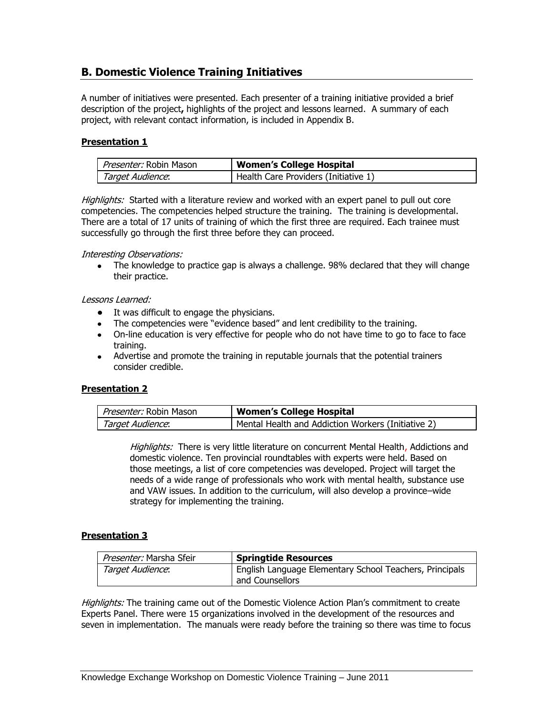## **B. Domestic Violence Training Initiatives**

A number of initiatives were presented. Each presenter of a training initiative provided a brief description of the project**,** highlights of the project and lessons learned. A summary of each project, with relevant contact information, is included in Appendix B.

## **Presentation 1**

| <i>Presenter:</i> Robin Mason | <b>Women's College Hospital</b>      |
|-------------------------------|--------------------------------------|
| Target Audience:              | Health Care Providers (Initiative 1) |

Highlights: Started with a literature review and worked with an expert panel to pull out core competencies. The competencies helped structure the training. The training is developmental. There are a total of 17 units of training of which the first three are required. Each trainee must successfully go through the first three before they can proceed.

#### Interesting Observations:

The knowledge to practice gap is always a challenge. 98% declared that they will change their practice.

#### Lessons Learned:

- It was difficult to engage the physicians.
- The competencies were "evidence based" and lent credibility to the training.
- On-line education is very effective for people who do not have time to go to face to face training.
- Advertise and promote the training in reputable journals that the potential trainers consider credible.

## **Presentation 2**

| <i>Presenter:</i> Robin Mason | <b>Women's College Hospital</b>                    |
|-------------------------------|----------------------------------------------------|
| Target Audience:              | Mental Health and Addiction Workers (Initiative 2) |

Highlights: There is very little literature on concurrent Mental Health, Addictions and domestic violence. Ten provincial roundtables with experts were held. Based on those meetings, a list of core competencies was developed. Project will target the needs of a wide range of professionals who work with mental health, substance use and VAW issues. In addition to the curriculum, will also develop a province–wide strategy for implementing the training.

## **Presentation 3**

| Presenter: Marsha Sfeir | <b>Springtide Resources</b>                                                |
|-------------------------|----------------------------------------------------------------------------|
| Target Audience:        | English Language Elementary School Teachers, Principals<br>and Counsellors |

Highlights: The training came out of the Domestic Violence Action Plan's commitment to create Experts Panel. There were 15 organizations involved in the development of the resources and seven in implementation. The manuals were ready before the training so there was time to focus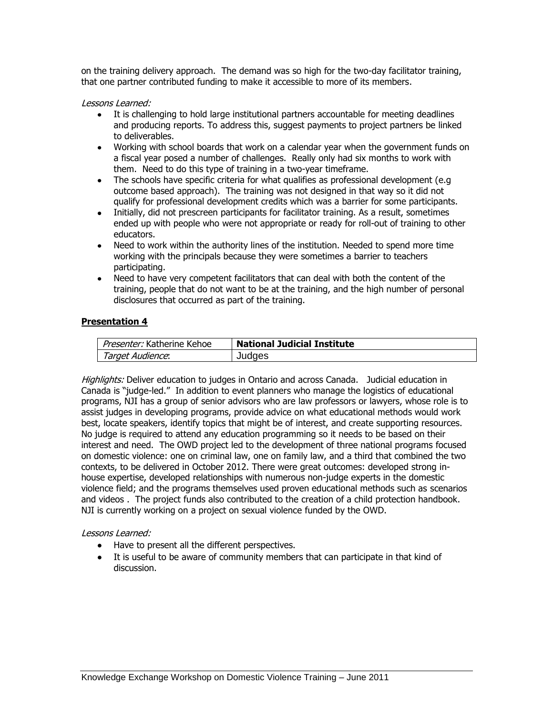on the training delivery approach. The demand was so high for the two-day facilitator training, that one partner contributed funding to make it accessible to more of its members.

Lessons Learned:

- It is challenging to hold large institutional partners accountable for meeting deadlines and producing reports. To address this, suggest payments to project partners be linked to deliverables.
- Working with school boards that work on a calendar year when the government funds on a fiscal year posed a number of challenges. Really only had six months to work with them. Need to do this type of training in a two-year timeframe.
- The schools have specific criteria for what qualifies as professional development (e.g. outcome based approach). The training was not designed in that way so it did not qualify for professional development credits which was a barrier for some participants.
- Initially, did not prescreen participants for facilitator training. As a result, sometimes ended up with people who were not appropriate or ready for roll-out of training to other educators.
- Need to work within the authority lines of the institution. Needed to spend more time working with the principals because they were sometimes a barrier to teachers participating.
- Need to have very competent facilitators that can deal with both the content of the training, people that do not want to be at the training, and the high number of personal disclosures that occurred as part of the training.

## **Presentation 4**

| Presenter: Katherine Kehoe | <b>National Judicial Institute</b> |
|----------------------------|------------------------------------|
| Target Audience:           | Judges                             |

Highlights: Deliver education to judges in Ontario and across Canada. Judicial education in Canada is "judge-led." In addition to event planners who manage the logistics of educational programs, NJI has a group of senior advisors who are law professors or lawyers, whose role is to assist judges in developing programs, provide advice on what educational methods would work best, locate speakers, identify topics that might be of interest, and create supporting resources. No judge is required to attend any education programming so it needs to be based on their interest and need. The OWD project led to the development of three national programs focused on domestic violence: one on criminal law, one on family law, and a third that combined the two contexts, to be delivered in October 2012. There were great outcomes: developed strong inhouse expertise, developed relationships with numerous non-judge experts in the domestic violence field; and the programs themselves used proven educational methods such as scenarios and videos . The project funds also contributed to the creation of a child protection handbook. NJI is currently working on a project on sexual violence funded by the OWD.

## Lessons Learned:

- Have to present all the different perspectives.
- It is useful to be aware of community members that can participate in that kind of discussion.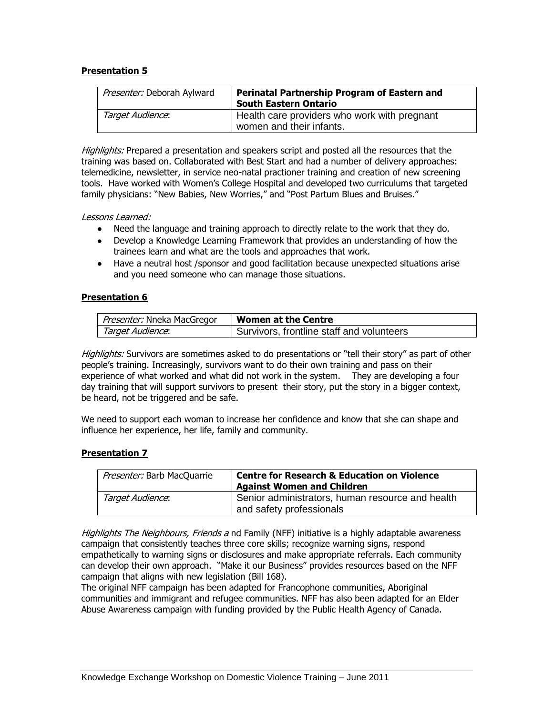## **Presentation 5**

| Presenter: Deborah Aylward | <b>Perinatal Partnership Program of Eastern and</b><br><b>South Eastern Ontario</b> |
|----------------------------|-------------------------------------------------------------------------------------|
| Target Audience:           | Health care providers who work with pregnant<br>women and their infants.            |

Highlights: Prepared a presentation and speakers script and posted all the resources that the training was based on. Collaborated with Best Start and had a number of delivery approaches: telemedicine, newsletter, in service neo-natal practioner training and creation of new screening tools. Have worked with Women's College Hospital and developed two curriculums that targeted family physicians: "New Babies, New Worries," and "Post Partum Blues and Bruises."

Lessons Learned:

- Need the language and training approach to directly relate to the work that they do.
- Develop a Knowledge Learning Framework that provides an understanding of how the trainees learn and what are the tools and approaches that work.
- Have a neutral host /sponsor and good facilitation because unexpected situations arise and you need someone who can manage those situations.

#### **Presentation 6**

| <i>Presenter:</i> Nneka MacGregor | <b>Women at the Centre</b>                |
|-----------------------------------|-------------------------------------------|
| Target Audience:                  | Survivors, frontline staff and volunteers |

Highlights: Survivors are sometimes asked to do presentations or "tell their story" as part of other people's training. Increasingly, survivors want to do their own training and pass on their experience of what worked and what did not work in the system. They are developing a four day training that will support survivors to present their story, put the story in a bigger context, be heard, not be triggered and be safe.

We need to support each woman to increase her confidence and know that she can shape and influence her experience, her life, family and community.

#### **Presentation 7**

| Presenter: Barb MacQuarrie | <b>Centre for Research &amp; Education on Violence</b><br><b>Against Women and Children</b> |
|----------------------------|---------------------------------------------------------------------------------------------|
| Target Audience:           | <sup>1</sup> Senior administrators, human resource and health<br>and safety professionals   |

Highlights The Neighbours, Friends a nd Family (NFF) initiative is a highly adaptable awareness campaign that consistently teaches three core skills; recognize warning signs, respond empathetically to warning signs or disclosures and make appropriate referrals. Each community can develop their own approach. "Make it our Business" provides resources based on the NFF campaign that aligns with new legislation (Bill 168).

The original NFF campaign has been adapted for Francophone communities, Aboriginal communities and immigrant and refugee communities. NFF has also been adapted for an Elder Abuse Awareness campaign with funding provided by the Public Health Agency of Canada.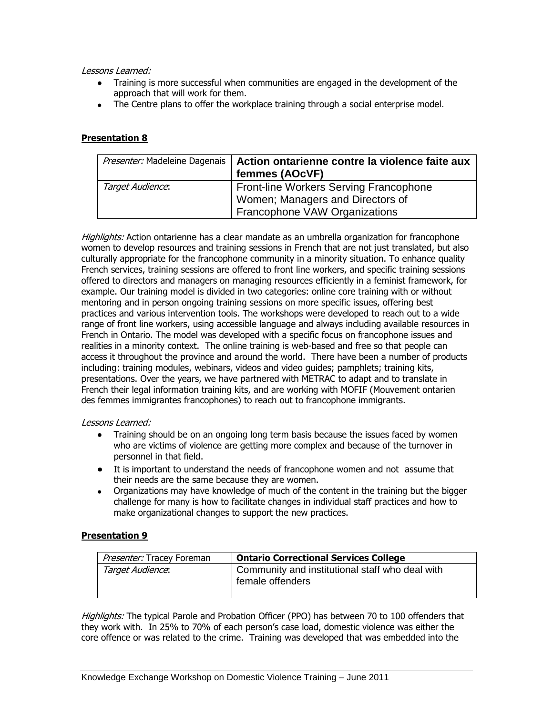#### Lessons Learned:

- Training is more successful when communities are engaged in the development of the approach that will work for them.
- The Centre plans to offer the workplace training through a social enterprise model.

## **Presentation 8**

| Presenter: Madeleine Dagenais | Action ontarienne contre la violence faite aux<br>femmes (AOcVF)                                                   |
|-------------------------------|--------------------------------------------------------------------------------------------------------------------|
| Target Audience:              | <b>Front-line Workers Serving Francophone</b><br>Women; Managers and Directors of<br>Francophone VAW Organizations |

Highlights: Action ontarienne has a clear mandate as an umbrella organization for francophone women to develop resources and training sessions in French that are not just translated, but also culturally appropriate for the francophone community in a minority situation. To enhance quality French services, training sessions are offered to front line workers, and specific training sessions offered to directors and managers on managing resources efficiently in a feminist framework, for example. Our training model is divided in two categories: online core training with or without mentoring and in person ongoing training sessions on more specific issues, offering best practices and various intervention tools. The workshops were developed to reach out to a wide range of front line workers, using accessible language and always including available resources in French in Ontario. The model was developed with a specific focus on francophone issues and realities in a minority context. The online training is web-based and free so that people can access it throughout the province and around the world. There have been a number of products including: training modules, webinars, videos and video guides; pamphlets; training kits, presentations. Over the years, we have partnered with METRAC to adapt and to translate in French their legal information training kits, and are working with MOFIF (Mouvement ontarien des femmes immigrantes francophones) to reach out to francophone immigrants.

## Lessons Learned:

- Training should be on an ongoing long term basis because the issues faced by women who are victims of violence are getting more complex and because of the turnover in personnel in that field.
- It is important to understand the needs of francophone women and not assume that their needs are the same because they are women.
- Organizations may have knowledge of much of the content in the training but the bigger challenge for many is how to facilitate changes in individual staff practices and how to make organizational changes to support the new practices.

## **Presentation 9**

| Presenter: Tracey Foreman | <b>Ontario Correctional Services College</b>                        |
|---------------------------|---------------------------------------------------------------------|
| Target Audience:          | Community and institutional staff who deal with<br>female offenders |

Highlights: The typical Parole and Probation Officer (PPO) has between 70 to 100 offenders that they work with. In 25% to 70% of each person's case load, domestic violence was either the core offence or was related to the crime. Training was developed that was embedded into the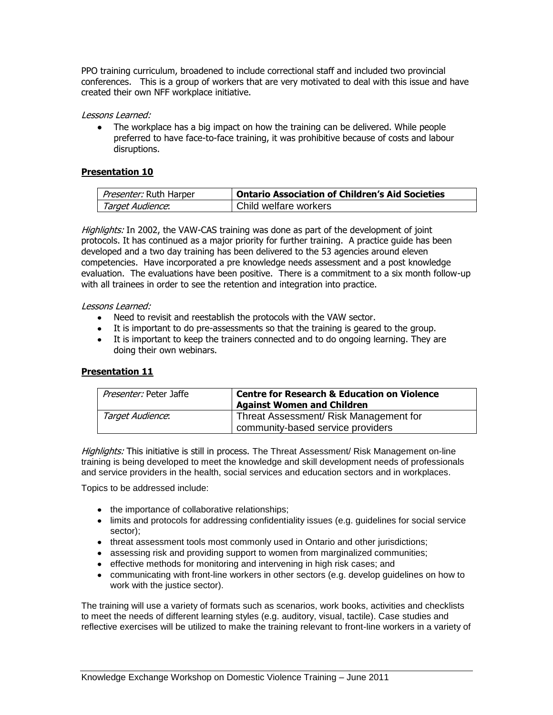PPO training curriculum, broadened to include correctional staff and included two provincial conferences. This is a group of workers that are very motivated to deal with this issue and have created their own NFF workplace initiative.

#### Lessons Learned:

• The workplace has a big impact on how the training can be delivered. While people preferred to have face-to-face training, it was prohibitive because of costs and labour disruptions.

#### **Presentation 10**

| <i>Presenter:</i> Ruth Harper | <b>Ontario Association of Children's Aid Societies</b> |
|-------------------------------|--------------------------------------------------------|
| Target Audience:              | Child welfare workers                                  |

Highlights: In 2002, the VAW-CAS training was done as part of the development of joint protocols. It has continued as a major priority for further training. A practice guide has been developed and a two day training has been delivered to the 53 agencies around eleven competencies. Have incorporated a pre knowledge needs assessment and a post knowledge evaluation. The evaluations have been positive. There is a commitment to a six month follow-up with all trainees in order to see the retention and integration into practice.

#### Lessons Learned:

- Need to revisit and reestablish the protocols with the VAW sector.
- It is important to do pre-assessments so that the training is geared to the group.
- It is important to keep the trainers connected and to do ongoing learning. They are doing their own webinars.

## **Presentation 11**

| Presenter: Peter Jaffe | <b>Centre for Research &amp; Education on Violence</b><br><b>Against Women and Children</b> |
|------------------------|---------------------------------------------------------------------------------------------|
| Target Audience:       | Threat Assessment/ Risk Management for<br>community-based service providers                 |

Highlights: This initiative is still in process. The Threat Assessment/ Risk Management on-line training is being developed to meet the knowledge and skill development needs of professionals and service providers in the health, social services and education sectors and in workplaces.

Topics to be addressed include:

- the importance of collaborative relationships;
- limits and protocols for addressing confidentiality issues (e.g. guidelines for social service sector);
- threat assessment tools most commonly used in Ontario and other jurisdictions;
- assessing risk and providing support to women from marginalized communities;
- effective methods for monitoring and intervening in high risk cases; and
- communicating with front-line workers in other sectors (e.g. develop guidelines on how to work with the justice sector).

The training will use a variety of formats such as scenarios, work books, activities and checklists to meet the needs of different learning styles (e.g. auditory, visual, tactile). Case studies and reflective exercises will be utilized to make the training relevant to front-line workers in a variety of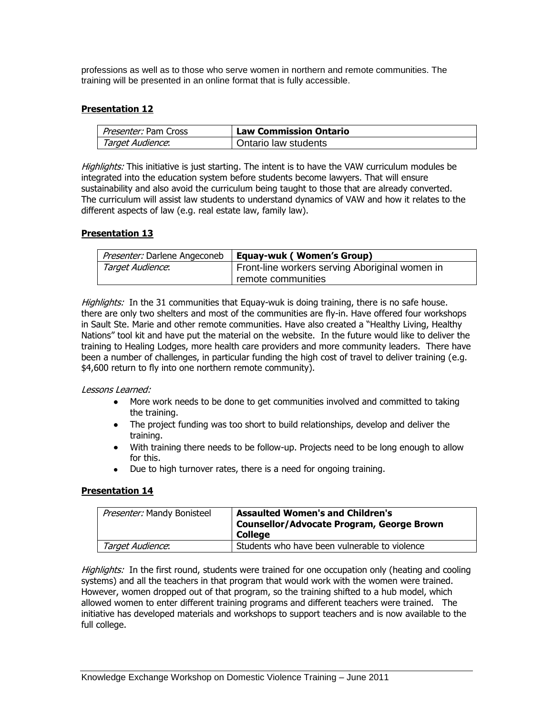professions as well as to those who serve women in northern and remote communities. The training will be presented in an online format that is fully accessible.

## **Presentation 12**

| <i>Presenter:</i> Pam Cross | <b>Law Commission Ontario</b> |
|-----------------------------|-------------------------------|
| Target Audience:            | Ontario law students          |

Highlights: This initiative is just starting. The intent is to have the VAW curriculum modules be integrated into the education system before students become lawyers. That will ensure sustainability and also avoid the curriculum being taught to those that are already converted. The curriculum will assist law students to understand dynamics of VAW and how it relates to the different aspects of law (e.g. real estate law, family law).

## **Presentation 13**

| Presenter: Darlene Angeconeb | Equay-wuk (Women's Group)                      |  |
|------------------------------|------------------------------------------------|--|
| Target Audience:             | Front-line workers serving Aboriginal women in |  |
|                              | remote communities                             |  |

Highlights: In the 31 communities that Equay-wuk is doing training, there is no safe house. there are only two shelters and most of the communities are fly-in. Have offered four workshops in Sault Ste. Marie and other remote communities. Have also created a "Healthy Living, Healthy Nations" tool kit and have put the material on the website. In the future would like to deliver the training to Healing Lodges, more health care providers and more community leaders. There have been a number of challenges, in particular funding the high cost of travel to deliver training (e.g. \$4,600 return to fly into one northern remote community).

#### Lessons Learned:

- More work needs to be done to get communities involved and committed to taking  $\bullet$ the training.
- The project funding was too short to build relationships, develop and deliver the training.
- With training there needs to be follow-up. Projects need to be long enough to allow for this.
- Due to high turnover rates, there is a need for ongoing training.

## **Presentation 14**

| Presenter: Mandy Bonisteel | <b>Assaulted Women's and Children's</b><br><b>Counsellor/Advocate Program, George Brown</b><br><b>College</b> |
|----------------------------|---------------------------------------------------------------------------------------------------------------|
| Target Audience:           | Students who have been vulnerable to violence                                                                 |

Highlights: In the first round, students were trained for one occupation only (heating and cooling systems) and all the teachers in that program that would work with the women were trained. However, women dropped out of that program, so the training shifted to a hub model, which allowed women to enter different training programs and different teachers were trained. The initiative has developed materials and workshops to support teachers and is now available to the full college.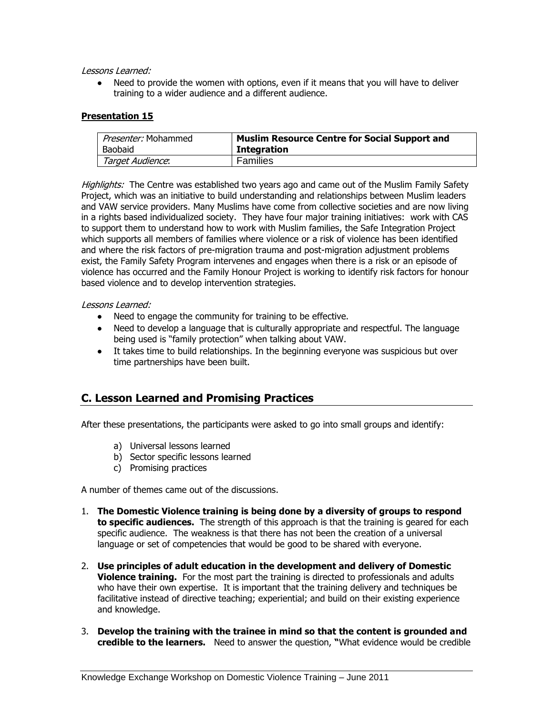Lessons Learned:

 $\bullet$ Need to provide the women with options, even if it means that you will have to deliver training to a wider audience and a different audience.

## **Presentation 15**

| <i>Presenter:</i> Mohammed | <b>Muslim Resource Centre for Social Support and</b> |
|----------------------------|------------------------------------------------------|
| Baobaid                    | <b>Integration</b>                                   |
| Target Audience:           | Families                                             |

Highlights: The Centre was established two years ago and came out of the Muslim Family Safety Project, which was an initiative to build understanding and relationships between Muslim leaders and VAW service providers. Many Muslims have come from collective societies and are now living in a rights based individualized society. They have four major training initiatives: work with CAS to support them to understand how to work with Muslim families, the Safe Integration Project which supports all members of families where violence or a risk of violence has been identified and where the risk factors of pre-migration trauma and post-migration adjustment problems exist, the Family Safety Program intervenes and engages when there is a risk or an episode of violence has occurred and the Family Honour Project is working to identify risk factors for honour based violence and to develop intervention strategies.

#### Lessons Learned:

- Need to engage the community for training to be effective.
- Need to develop a language that is culturally appropriate and respectful. The language being used is "family protection" when talking about VAW.
- It takes time to build relationships. In the beginning everyone was suspicious but over time partnerships have been built.

## **C. Lesson Learned and Promising Practices**

After these presentations, the participants were asked to go into small groups and identify:

- a) Universal lessons learned
- b) Sector specific lessons learned
- c) Promising practices

A number of themes came out of the discussions.

- 1. **The Domestic Violence training is being done by a diversity of groups to respond to specific audiences.** The strength of this approach is that the training is geared for each specific audience. The weakness is that there has not been the creation of a universal language or set of competencies that would be good to be shared with everyone.
- 2. **Use principles of adult education in the development and delivery of Domestic Violence training.** For the most part the training is directed to professionals and adults who have their own expertise. It is important that the training delivery and techniques be facilitative instead of directive teaching; experiential; and build on their existing experience and knowledge.
- 3. **Develop the training with the trainee in mind so that the content is grounded and credible to the learners.** Need to answer the question, **"**What evidence would be credible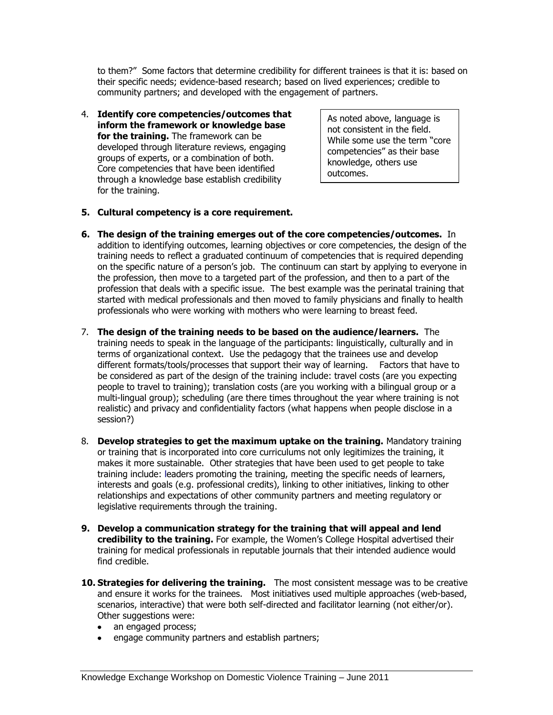to them?" Some factors that determine credibility for different trainees is that it is: based on their specific needs; evidence-based research; based on lived experiences; credible to community partners; and developed with the engagement of partners.

4. **Identify core competencies/outcomes that inform the framework or knowledge base for the training.** The framework can be developed through literature reviews, engaging groups of experts, or a combination of both. Core competencies that have been identified through a knowledge base establish credibility for the training.

As noted above, language is not consistent in the field. While some use the term "core competencies" as their base knowledge, others use outcomes.

- **5. Cultural competency is a core requirement.**
- **6. The design of the training emerges out of the core competencies/outcomes.** In addition to identifying outcomes, learning objectives or core competencies, the design of the training needs to reflect a graduated continuum of competencies that is required depending on the specific nature of a person's job. The continuum can start by applying to everyone in the profession, then move to a targeted part of the profession, and then to a part of the profession that deals with a specific issue. The best example was the perinatal training that started with medical professionals and then moved to family physicians and finally to health professionals who were working with mothers who were learning to breast feed.
- 7. **The design of the training needs to be based on the audience/learners.** The training needs to speak in the language of the participants: linguistically, culturally and in terms of organizational context. Use the pedagogy that the trainees use and develop different formats/tools/processes that support their way of learning. Factors that have to be considered as part of the design of the training include: travel costs (are you expecting people to travel to training); translation costs (are you working with a bilingual group or a multi-lingual group); scheduling (are there times throughout the year where training is not realistic) and privacy and confidentiality factors (what happens when people disclose in a session?)
- 8. **Develop strategies to get the maximum uptake on the training.** Mandatory training or training that is incorporated into core curriculums not only legitimizes the training, it makes it more sustainable. Other strategies that have been used to get people to take training include: leaders promoting the training, meeting the specific needs of learners, interests and goals (e.g. professional credits), linking to other initiatives, linking to other relationships and expectations of other community partners and meeting regulatory or legislative requirements through the training.
- **9. Develop a communication strategy for the training that will appeal and lend credibility to the training.** For example, the Women's College Hospital advertised their training for medical professionals in reputable journals that their intended audience would find credible.
- **10. Strategies for delivering the training.** The most consistent message was to be creative and ensure it works for the trainees. Most initiatives used multiple approaches (web-based, scenarios, interactive) that were both self-directed and facilitator learning (not either/or). Other suggestions were:
	- an engaged process;
	- engage community partners and establish partners;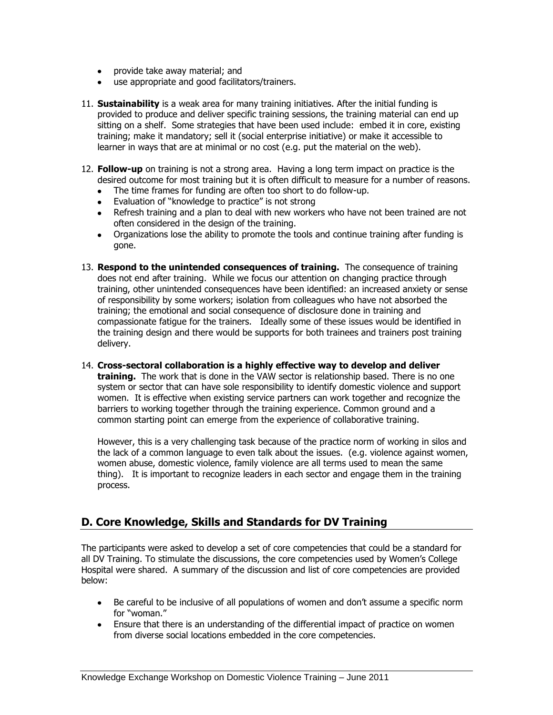- provide take away material; and
- use appropriate and good facilitators/trainers.
- 11. **Sustainability** is a weak area for many training initiatives. After the initial funding is provided to produce and deliver specific training sessions, the training material can end up sitting on a shelf. Some strategies that have been used include: embed it in core, existing training; make it mandatory; sell it (social enterprise initiative) or make it accessible to learner in ways that are at minimal or no cost (e.g. put the material on the web).
- 12. **Follow-up** on training is not a strong area. Having a long term impact on practice is the desired outcome for most training but it is often difficult to measure for a number of reasons.
	- The time frames for funding are often too short to do follow-up.
	- Evaluation of "knowledge to practice" is not strong
	- Refresh training and a plan to deal with new workers who have not been trained are not often considered in the design of the training.
	- Organizations lose the ability to promote the tools and continue training after funding is gone.
- 13. **Respond to the unintended consequences of training.** The consequence of training does not end after training. While we focus our attention on changing practice through training, other unintended consequences have been identified: an increased anxiety or sense of responsibility by some workers; isolation from colleagues who have not absorbed the training; the emotional and social consequence of disclosure done in training and compassionate fatigue for the trainers. Ideally some of these issues would be identified in the training design and there would be supports for both trainees and trainers post training delivery.
- 14. **Cross-sectoral collaboration is a highly effective way to develop and deliver training.** The work that is done in the VAW sector is relationship based. There is no one system or sector that can have sole responsibility to identify domestic violence and support women. It is effective when existing service partners can work together and recognize the barriers to working together through the training experience. Common ground and a common starting point can emerge from the experience of collaborative training.

However, this is a very challenging task because of the practice norm of working in silos and the lack of a common language to even talk about the issues. (e.g. violence against women, women abuse, domestic violence, family violence are all terms used to mean the same thing). It is important to recognize leaders in each sector and engage them in the training process.

## **D. Core Knowledge, Skills and Standards for DV Training**

The participants were asked to develop a set of core competencies that could be a standard for all DV Training. To stimulate the discussions, the core competencies used by Women's College Hospital were shared. A summary of the discussion and list of core competencies are provided below:

- Be careful to be inclusive of all populations of women and don't assume a specific norm for "woman."
- Ensure that there is an understanding of the differential impact of practice on women from diverse social locations embedded in the core competencies.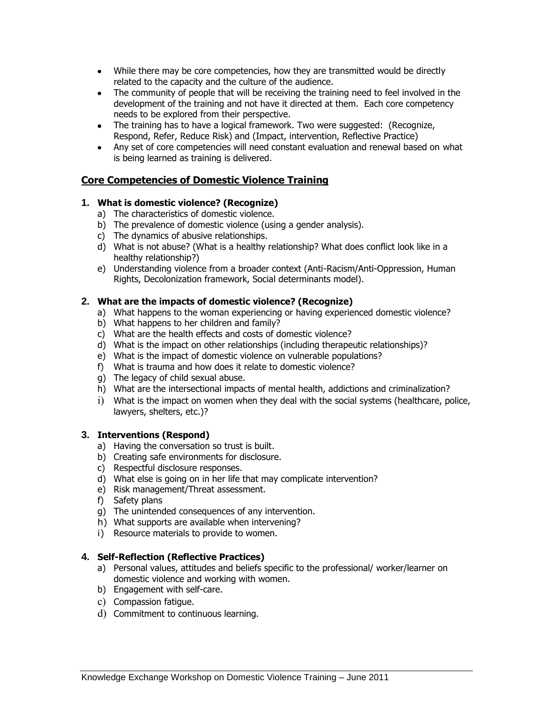- While there may be core competencies, how they are transmitted would be directly related to the capacity and the culture of the audience.
- The community of people that will be receiving the training need to feel involved in the development of the training and not have it directed at them. Each core competency needs to be explored from their perspective.
- The training has to have a logical framework. Two were suggested: (Recognize, Respond, Refer, Reduce Risk) and (Impact, intervention, Reflective Practice)
- Any set of core competencies will need constant evaluation and renewal based on what is being learned as training is delivered.

## **Core Competencies of Domestic Violence Training**

## **1. What is domestic violence? (Recognize)**

- a) The characteristics of domestic violence.
- b) The prevalence of domestic violence (using a gender analysis).
- c) The dynamics of abusive relationships.
- d) What is not abuse? (What is a healthy relationship? What does conflict look like in a healthy relationship?)
- e) Understanding violence from a broader context (Anti-Racism/Anti-Oppression, Human Rights, Decolonization framework, Social determinants model).

## **2. What are the impacts of domestic violence? (Recognize)**

- a) What happens to the woman experiencing or having experienced domestic violence?
- b) What happens to her children and family?
- c) What are the health effects and costs of domestic violence?
- d) What is the impact on other relationships (including therapeutic relationships)?
- e) What is the impact of domestic violence on vulnerable populations?
- f) What is trauma and how does it relate to domestic violence?
- g) The legacy of child sexual abuse.
- h) What are the intersectional impacts of mental health, addictions and criminalization?
- i) What is the impact on women when they deal with the social systems (healthcare, police, lawyers, shelters, etc.)?

## **3. Interventions (Respond)**

- a) Having the conversation so trust is built.
- b) Creating safe environments for disclosure.
- c) Respectful disclosure responses.
- d) What else is going on in her life that may complicate intervention?
- e) Risk management/Threat assessment.
- f) Safety plans
- g) The unintended consequences of any intervention.
- h) What supports are available when intervening?
- i) Resource materials to provide to women.

## **4. Self-Reflection (Reflective Practices)**

- a) Personal values, attitudes and beliefs specific to the professional/ worker/learner on domestic violence and working with women.
- b) Engagement with self-care.
- c) Compassion fatigue.
- d) Commitment to continuous learning.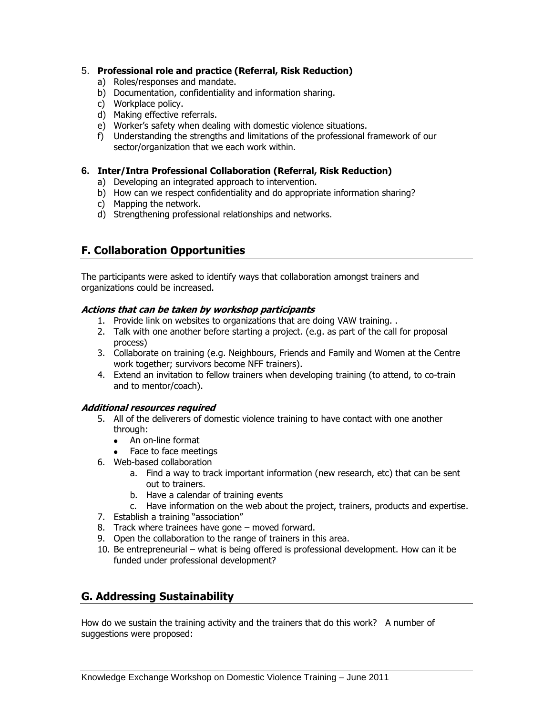## 5. **Professional role and practice (Referral, Risk Reduction)**

- a) Roles/responses and mandate.
- b) Documentation, confidentiality and information sharing.
- c) Workplace policy.
- d) Making effective referrals.
- e) Worker's safety when dealing with domestic violence situations.
- f) Understanding the strengths and limitations of the professional framework of our sector/organization that we each work within.

## **6. Inter/Intra Professional Collaboration (Referral, Risk Reduction)**

- a) Developing an integrated approach to intervention.
- b) How can we respect confidentiality and do appropriate information sharing?
- c) Mapping the network.
- d) Strengthening professional relationships and networks.

## **F. Collaboration Opportunities**

The participants were asked to identify ways that collaboration amongst trainers and organizations could be increased.

## **Actions that can be taken by workshop participants**

- 1. Provide link on websites to organizations that are doing VAW training. .
- 2. Talk with one another before starting a project. (e.g. as part of the call for proposal process)
- 3. Collaborate on training (e.g. Neighbours, Friends and Family and Women at the Centre work together; survivors become NFF trainers).
- 4. Extend an invitation to fellow trainers when developing training (to attend, to co-train and to mentor/coach).

## **Additional resources required**

- 5. All of the deliverers of domestic violence training to have contact with one another through:
	- An on-line format
	- Face to face meetings
- 6. Web-based collaboration
	- a. Find a way to track important information (new research, etc) that can be sent out to trainers.
	- b. Have a calendar of training events
	- c. Have information on the web about the project, trainers, products and expertise.
- 7. Establish a training "association"
- 8. Track where trainees have gone moved forward.
- 9. Open the collaboration to the range of trainers in this area.
- 10. Be entrepreneurial what is being offered is professional development. How can it be funded under professional development?

## **G. Addressing Sustainability**

How do we sustain the training activity and the trainers that do this work? A number of suggestions were proposed: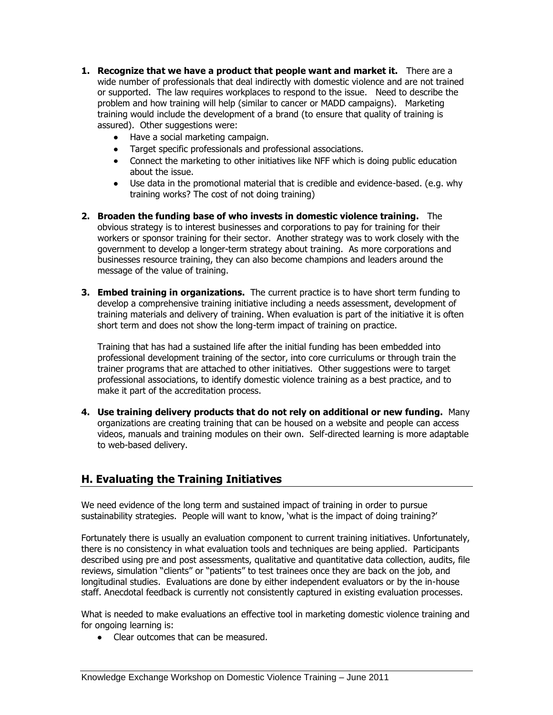- **1. Recognize that we have a product that people want and market it.** There are a wide number of professionals that deal indirectly with domestic violence and are not trained or supported. The law requires workplaces to respond to the issue. Need to describe the problem and how training will help (similar to cancer or MADD campaigns). Marketing training would include the development of a brand (to ensure that quality of training is assured). Other suggestions were:
	- Have a social marketing campaign.
	- Target specific professionals and professional associations.
	- Connect the marketing to other initiatives like NFF which is doing public education about the issue.
	- Use data in the promotional material that is credible and evidence-based. (e.g. why training works? The cost of not doing training)
- **2. Broaden the funding base of who invests in domestic violence training.** The obvious strategy is to interest businesses and corporations to pay for training for their workers or sponsor training for their sector. Another strategy was to work closely with the government to develop a longer-term strategy about training. As more corporations and businesses resource training, they can also become champions and leaders around the message of the value of training.
- **3. Embed training in organizations.** The current practice is to have short term funding to develop a comprehensive training initiative including a needs assessment, development of training materials and delivery of training. When evaluation is part of the initiative it is often short term and does not show the long-term impact of training on practice.

Training that has had a sustained life after the initial funding has been embedded into professional development training of the sector, into core curriculums or through train the trainer programs that are attached to other initiatives. Other suggestions were to target professional associations, to identify domestic violence training as a best practice, and to make it part of the accreditation process.

**4. Use training delivery products that do not rely on additional or new funding.** Many organizations are creating training that can be housed on a website and people can access videos, manuals and training modules on their own. Self-directed learning is more adaptable to web-based delivery.

## **H. Evaluating the Training Initiatives**

We need evidence of the long term and sustained impact of training in order to pursue sustainability strategies. People will want to know, 'what is the impact of doing training?'

Fortunately there is usually an evaluation component to current training initiatives. Unfortunately, there is no consistency in what evaluation tools and techniques are being applied. Participants described using pre and post assessments, qualitative and quantitative data collection, audits, file reviews, simulation "clients" or "patients" to test trainees once they are back on the job, and longitudinal studies. Evaluations are done by either independent evaluators or by the in-house staff. Anecdotal feedback is currently not consistently captured in existing evaluation processes.

What is needed to make evaluations an effective tool in marketing domestic violence training and for ongoing learning is:

• Clear outcomes that can be measured.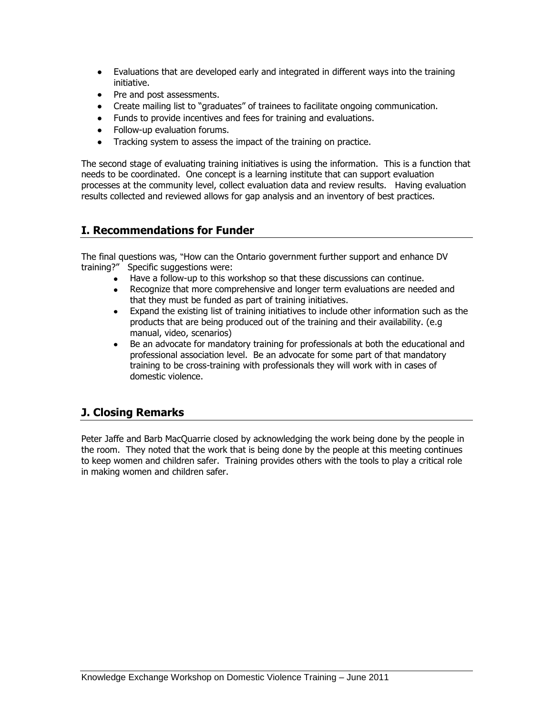- Evaluations that are developed early and integrated in different ways into the training initiative.
- Pre and post assessments.
- Create mailing list to "graduates" of trainees to facilitate ongoing communication.
- Funds to provide incentives and fees for training and evaluations.
- Follow-up evaluation forums.
- Tracking system to assess the impact of the training on practice.

The second stage of evaluating training initiatives is using the information. This is a function that needs to be coordinated. One concept is a learning institute that can support evaluation processes at the community level, collect evaluation data and review results. Having evaluation results collected and reviewed allows for gap analysis and an inventory of best practices.

## **I. Recommendations for Funder**

The final questions was, "How can the Ontario government further support and enhance DV training?" Specific suggestions were:

- Have a follow-up to this workshop so that these discussions can continue.
- $\bullet$ Recognize that more comprehensive and longer term evaluations are needed and that they must be funded as part of training initiatives.
- $\bullet$ Expand the existing list of training initiatives to include other information such as the products that are being produced out of the training and their availability. (e.g manual, video, scenarios)
- Be an advocate for mandatory training for professionals at both the educational and  $\bullet$ professional association level. Be an advocate for some part of that mandatory training to be cross-training with professionals they will work with in cases of domestic violence.

## **J. Closing Remarks**

Peter Jaffe and Barb MacQuarrie closed by acknowledging the work being done by the people in the room. They noted that the work that is being done by the people at this meeting continues to keep women and children safer. Training provides others with the tools to play a critical role in making women and children safer.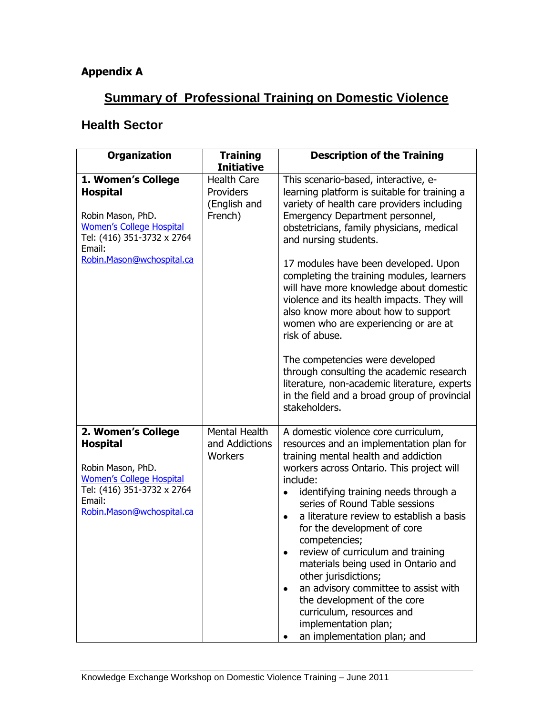## **Appendix A**

## **Summary of Professional Training on Domestic Violence**

## **Health Sector**

| <b>Organization</b>                                                                                                                                                | <b>Training</b><br><b>Initiative</b>                       | <b>Description of the Training</b>                                                                                                                                                                                                                                                                                                                                                                                                                                                                                                                                                                                               |
|--------------------------------------------------------------------------------------------------------------------------------------------------------------------|------------------------------------------------------------|----------------------------------------------------------------------------------------------------------------------------------------------------------------------------------------------------------------------------------------------------------------------------------------------------------------------------------------------------------------------------------------------------------------------------------------------------------------------------------------------------------------------------------------------------------------------------------------------------------------------------------|
| 1. Women's College<br><b>Hospital</b><br>Robin Mason, PhD.<br><b>Women's College Hospital</b><br>Tel: (416) 351-3732 x 2764<br>Email:                              | <b>Health Care</b><br>Providers<br>(English and<br>French) | This scenario-based, interactive, e-<br>learning platform is suitable for training a<br>variety of health care providers including<br>Emergency Department personnel,<br>obstetricians, family physicians, medical<br>and nursing students.                                                                                                                                                                                                                                                                                                                                                                                      |
| Robin.Mason@wchospital.ca                                                                                                                                          |                                                            | 17 modules have been developed. Upon<br>completing the training modules, learners<br>will have more knowledge about domestic<br>violence and its health impacts. They will<br>also know more about how to support<br>women who are experiencing or are at<br>risk of abuse.                                                                                                                                                                                                                                                                                                                                                      |
|                                                                                                                                                                    |                                                            | The competencies were developed<br>through consulting the academic research<br>literature, non-academic literature, experts<br>in the field and a broad group of provincial<br>stakeholders.                                                                                                                                                                                                                                                                                                                                                                                                                                     |
| 2. Women's College<br><b>Hospital</b><br>Robin Mason, PhD.<br><b>Women's College Hospital</b><br>Tel: (416) 351-3732 x 2764<br>Email:<br>Robin.Mason@wchospital.ca | Mental Health<br>and Addictions<br>Workers                 | A domestic violence core curriculum,<br>resources and an implementation plan for<br>training mental health and addiction<br>workers across Ontario. This project will<br>include:<br>identifying training needs through a<br>series of Round Table sessions<br>a literature review to establish a basis<br>٠<br>for the development of core<br>competencies;<br>review of curriculum and training<br>materials being used in Ontario and<br>other jurisdictions;<br>an advisory committee to assist with<br>٠<br>the development of the core<br>curriculum, resources and<br>implementation plan;<br>an implementation plan; and |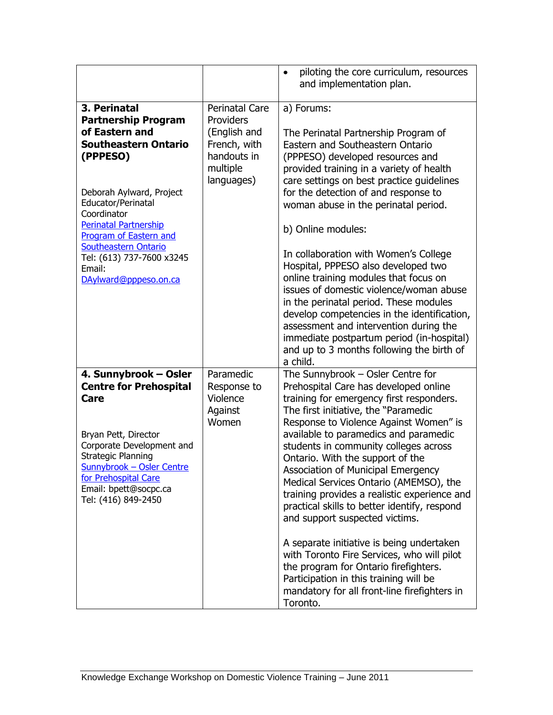|                                                                                                                                                                                                                                                                                                                                          |                                                                                                      | piloting the core curriculum, resources<br>$\bullet$<br>and implementation plan.                                                                                                                                                                                                                                                                                                                                                                                                                                                                                                                                                                                                                                                                                                             |
|------------------------------------------------------------------------------------------------------------------------------------------------------------------------------------------------------------------------------------------------------------------------------------------------------------------------------------------|------------------------------------------------------------------------------------------------------|----------------------------------------------------------------------------------------------------------------------------------------------------------------------------------------------------------------------------------------------------------------------------------------------------------------------------------------------------------------------------------------------------------------------------------------------------------------------------------------------------------------------------------------------------------------------------------------------------------------------------------------------------------------------------------------------------------------------------------------------------------------------------------------------|
| 3. Perinatal<br><b>Partnership Program</b><br>of Eastern and<br><b>Southeastern Ontario</b><br>(PPPESO)<br>Deborah Aylward, Project<br>Educator/Perinatal<br>Coordinator<br><b>Perinatal Partnership</b><br><b>Program of Eastern and</b><br><b>Southeastern Ontario</b><br>Tel: (613) 737-7600 x3245<br>Email:<br>DAylward@pppeso.on.ca | Perinatal Care<br>Providers<br>(English and<br>French, with<br>handouts in<br>multiple<br>languages) | a) Forums:<br>The Perinatal Partnership Program of<br>Eastern and Southeastern Ontario<br>(PPPESO) developed resources and<br>provided training in a variety of health<br>care settings on best practice guidelines<br>for the detection of and response to<br>woman abuse in the perinatal period.<br>b) Online modules:<br>In collaboration with Women's College<br>Hospital, PPPESO also developed two<br>online training modules that focus on<br>issues of domestic violence/woman abuse<br>in the perinatal period. These modules<br>develop competencies in the identification,<br>assessment and intervention during the<br>immediate postpartum period (in-hospital)<br>and up to 3 months following the birth of<br>a child.                                                       |
| 4. Sunnybrook - Osler<br><b>Centre for Prehospital</b><br>Care<br>Bryan Pett, Director<br>Corporate Development and<br>Strategic Planning<br>Sunnybrook - Osler Centre<br>for Prehospital Care<br>Email: bpett@socpc.ca<br>Tel: (416) 849-2450                                                                                           | Paramedic<br>Response to<br>Violence<br>Against<br>Women                                             | The Sunnybrook $-$ Osler Centre for<br>Prehospital Care has developed online<br>training for emergency first responders.<br>The first initiative, the "Paramedic<br>Response to Violence Against Women" is<br>available to paramedics and paramedic<br>students in community colleges across<br>Ontario. With the support of the<br>Association of Municipal Emergency<br>Medical Services Ontario (AMEMSO), the<br>training provides a realistic experience and<br>practical skills to better identify, respond<br>and support suspected victims.<br>A separate initiative is being undertaken<br>with Toronto Fire Services, who will pilot<br>the program for Ontario firefighters.<br>Participation in this training will be<br>mandatory for all front-line firefighters in<br>Toronto. |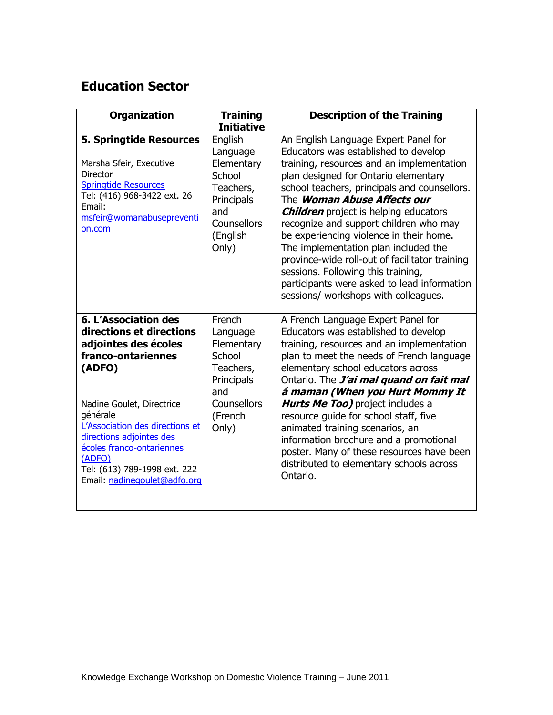## **Education Sector**

| <b>Organization</b>                                                                                                                                                                                                                                                                                                            | <b>Training</b><br><b>Initiative</b>                                                                              | <b>Description of the Training</b>                                                                                                                                                                                                                                                                                                                                                                                                                                                                                                                                                                                  |
|--------------------------------------------------------------------------------------------------------------------------------------------------------------------------------------------------------------------------------------------------------------------------------------------------------------------------------|-------------------------------------------------------------------------------------------------------------------|---------------------------------------------------------------------------------------------------------------------------------------------------------------------------------------------------------------------------------------------------------------------------------------------------------------------------------------------------------------------------------------------------------------------------------------------------------------------------------------------------------------------------------------------------------------------------------------------------------------------|
| <b>5. Springtide Resources</b><br>Marsha Sfeir, Executive<br><b>Director</b><br><b>Springtide Resources</b><br>Tel: (416) 968-3422 ext. 26<br>Email:<br>msfeir@womanabusepreventi<br>on.com                                                                                                                                    | English<br>Language<br>Elementary<br>School<br>Teachers,<br>Principals<br>and<br>Counsellors<br>(English<br>Only) | An English Language Expert Panel for<br>Educators was established to develop<br>training, resources and an implementation<br>plan designed for Ontario elementary<br>school teachers, principals and counsellors.<br>The <i>Woman Abuse Affects our</i><br><b>Children</b> project is helping educators<br>recognize and support children who may<br>be experiencing violence in their home.<br>The implementation plan included the<br>province-wide roll-out of facilitator training<br>sessions. Following this training,<br>participants were asked to lead information<br>sessions/ workshops with colleagues. |
| <b>6. L'Association des</b><br>directions et directions<br>adjointes des écoles<br>franco-ontariennes<br>(ADFO)<br>Nadine Goulet, Directrice<br>générale<br>L'Association des directions et<br>directions adjointes des<br>écoles franco-ontariennes<br>(ADFO)<br>Tel: (613) 789-1998 ext. 222<br>Email: nadinegoulet@adfo.org | French<br>Language<br>Elementary<br>School<br>Teachers,<br>Principals<br>and<br>Counsellors<br>(French<br>Only)   | A French Language Expert Panel for<br>Educators was established to develop<br>training, resources and an implementation<br>plan to meet the needs of French language<br>elementary school educators across<br>Ontario. The <i>J'ai mal quand on fait mal</i><br>á maman (When you Hurt Mommy It<br>Hurts Me Too) project includes a<br>resource guide for school staff, five<br>animated training scenarios, an<br>information brochure and a promotional<br>poster. Many of these resources have been<br>distributed to elementary schools across<br>Ontario.                                                      |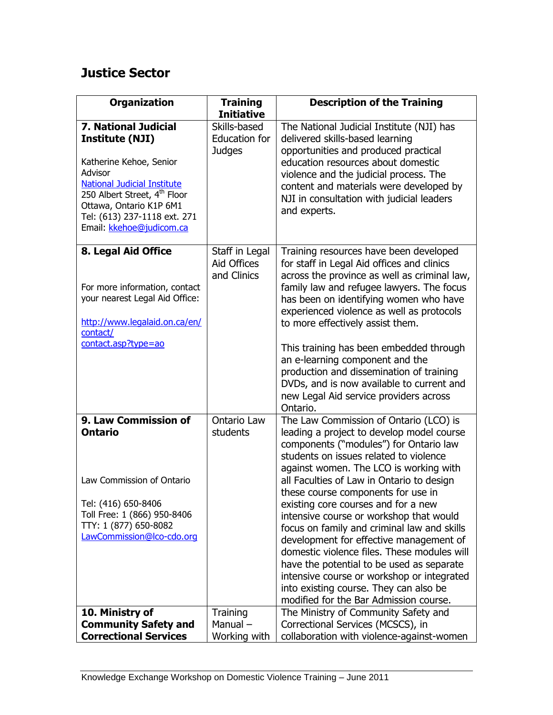## **Justice Sector**

| <b>Organization</b>                                                                                                                                                                                                                                                  | <b>Training</b><br><b>Initiative</b>                  | <b>Description of the Training</b>                                                                                                                                                                                                                                                                                                                                                                                                                                                                                                                                                                                                                                                                             |
|----------------------------------------------------------------------------------------------------------------------------------------------------------------------------------------------------------------------------------------------------------------------|-------------------------------------------------------|----------------------------------------------------------------------------------------------------------------------------------------------------------------------------------------------------------------------------------------------------------------------------------------------------------------------------------------------------------------------------------------------------------------------------------------------------------------------------------------------------------------------------------------------------------------------------------------------------------------------------------------------------------------------------------------------------------------|
| <b>7. National Judicial</b><br><b>Institute (NJI)</b><br>Katherine Kehoe, Senior<br>Advisor<br><b>National Judicial Institute</b><br>250 Albert Street, 4 <sup>th</sup> Floor<br>Ottawa, Ontario K1P 6M1<br>Tel: (613) 237-1118 ext. 271<br>Email: kkehoe@judicom.ca | Skills-based<br><b>Education for</b><br><b>Judges</b> | The National Judicial Institute (NJI) has<br>delivered skills-based learning<br>opportunities and produced practical<br>education resources about domestic<br>violence and the judicial process. The<br>content and materials were developed by<br>NJI in consultation with judicial leaders<br>and experts.                                                                                                                                                                                                                                                                                                                                                                                                   |
| 8. Legal Aid Office<br>For more information, contact<br>your nearest Legal Aid Office:<br>http://www.legalaid.on.ca/en/<br>contact/<br>contact.asp?type=ao                                                                                                           | Staff in Legal<br>Aid Offices<br>and Clinics          | Training resources have been developed<br>for staff in Legal Aid offices and clinics<br>across the province as well as criminal law,<br>family law and refugee lawyers. The focus<br>has been on identifying women who have<br>experienced violence as well as protocols<br>to more effectively assist them.<br>This training has been embedded through<br>an e-learning component and the<br>production and dissemination of training<br>DVDs, and is now available to current and<br>new Legal Aid service providers across<br>Ontario.                                                                                                                                                                      |
| 9. Law Commission of<br><b>Ontario</b><br>Law Commission of Ontario<br>Tel: (416) 650-8406<br>Toll Free: 1 (866) 950-8406<br>TTY: 1 (877) 650-8082<br>LawCommission@lco-cdo.org                                                                                      | Ontario Law<br>students                               | The Law Commission of Ontario (LCO) is<br>leading a project to develop model course<br>components ("modules") for Ontario law<br>students on issues related to violence<br>against women. The LCO is working with<br>all Faculties of Law in Ontario to design<br>these course components for use in<br>existing core courses and for a new<br>intensive course or workshop that would<br>focus on family and criminal law and skills<br>development for effective management of<br>domestic violence files. These modules will<br>have the potential to be used as separate<br>intensive course or workshop or integrated<br>into existing course. They can also be<br>modified for the Bar Admission course. |
| 10. Ministry of<br><b>Community Safety and</b><br><b>Correctional Services</b>                                                                                                                                                                                       | Training<br>Manual-<br>Working with                   | The Ministry of Community Safety and<br>Correctional Services (MCSCS), in<br>collaboration with violence-against-women                                                                                                                                                                                                                                                                                                                                                                                                                                                                                                                                                                                         |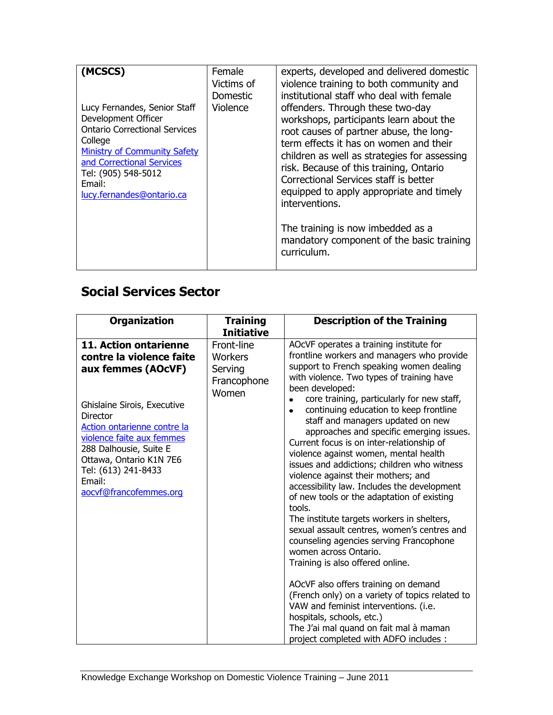| (MCSCS)<br>Lucy Fernandes, Senior Staff<br>Development Officer<br><b>Ontario Correctional Services</b><br>College<br><b>Ministry of Community Safety</b><br>and Correctional Services<br>Tel: (905) 548-5012<br>Email:<br>lucy.fernandes@ontario.ca | Female<br>Victims of<br><b>Domestic</b><br>Violence | experts, developed and delivered domestic<br>violence training to both community and<br>institutional staff who deal with female<br>offenders. Through these two-day<br>workshops, participants learn about the<br>root causes of partner abuse, the long-<br>term effects it has on women and their<br>children as well as strategies for assessing<br>risk. Because of this training, Ontario<br>Correctional Services staff is better<br>equipped to apply appropriate and timely<br>interventions.<br>The training is now imbedded as a<br>mandatory component of the basic training<br>curriculum. |
|-----------------------------------------------------------------------------------------------------------------------------------------------------------------------------------------------------------------------------------------------------|-----------------------------------------------------|---------------------------------------------------------------------------------------------------------------------------------------------------------------------------------------------------------------------------------------------------------------------------------------------------------------------------------------------------------------------------------------------------------------------------------------------------------------------------------------------------------------------------------------------------------------------------------------------------------|
|                                                                                                                                                                                                                                                     |                                                     |                                                                                                                                                                                                                                                                                                                                                                                                                                                                                                                                                                                                         |

## **Social Services Sector**

| <b>Organization</b>                                                                                                                                                                                                                                                                                   | <b>Training</b><br><b>Initiative</b>                     | <b>Description of the Training</b>                                                                                                                                                                                                                                                                                                                                                                                                                                                                                                                                                                                                                                                                                                                                                                                                                                                                                                                                                                                                                            |
|-------------------------------------------------------------------------------------------------------------------------------------------------------------------------------------------------------------------------------------------------------------------------------------------------------|----------------------------------------------------------|---------------------------------------------------------------------------------------------------------------------------------------------------------------------------------------------------------------------------------------------------------------------------------------------------------------------------------------------------------------------------------------------------------------------------------------------------------------------------------------------------------------------------------------------------------------------------------------------------------------------------------------------------------------------------------------------------------------------------------------------------------------------------------------------------------------------------------------------------------------------------------------------------------------------------------------------------------------------------------------------------------------------------------------------------------------|
| 11. Action ontarienne<br>contre la violence faite<br>aux femmes (AOcVF)<br>Ghislaine Sirois, Executive<br><b>Director</b><br>Action ontarienne contre la<br>violence faite aux femmes<br>288 Dalhousie, Suite E<br>Ottawa, Ontario K1N 7E6<br>Tel: (613) 241-8433<br>Email:<br>aocvf@francofemmes.org | Front-line<br>Workers<br>Serving<br>Francophone<br>Women | AOcVF operates a training institute for<br>frontline workers and managers who provide<br>support to French speaking women dealing<br>with violence. Two types of training have<br>been developed:<br>core training, particularly for new staff,<br>$\bullet$<br>continuing education to keep frontline<br>$\bullet$<br>staff and managers updated on new<br>approaches and specific emerging issues.<br>Current focus is on inter-relationship of<br>violence against women, mental health<br>issues and addictions; children who witness<br>violence against their mothers; and<br>accessibility law. Includes the development<br>of new tools or the adaptation of existing<br>tools.<br>The institute targets workers in shelters,<br>sexual assault centres, women's centres and<br>counseling agencies serving Francophone<br>women across Ontario.<br>Training is also offered online.<br>AOCVF also offers training on demand<br>(French only) on a variety of topics related to<br>VAW and feminist interventions. (i.e.<br>hospitals, schools, etc.) |
|                                                                                                                                                                                                                                                                                                       |                                                          | The J'ai mal quand on fait mal à maman<br>project completed with ADFO includes :                                                                                                                                                                                                                                                                                                                                                                                                                                                                                                                                                                                                                                                                                                                                                                                                                                                                                                                                                                              |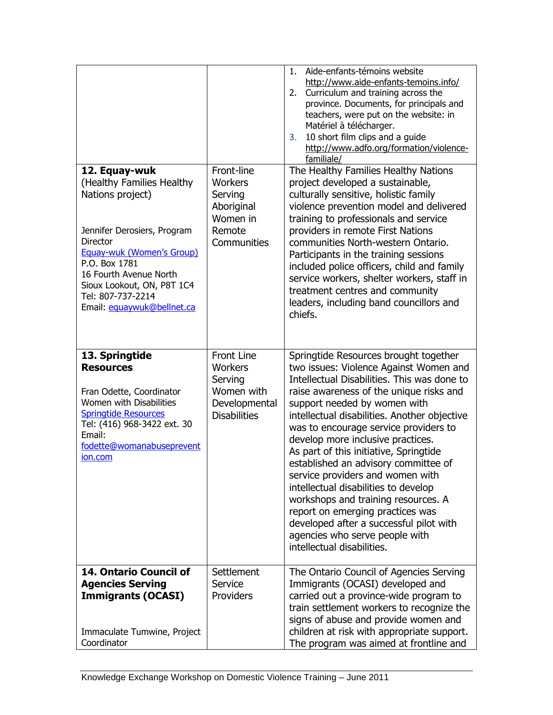|                                                                                                                                                                                                           |                                                                                               | Aide-enfants-témoins website<br>1.<br>http://www.aide-enfants-temoins.info/<br>Curriculum and training across the<br>2.<br>province. Documents, for principals and<br>teachers, were put on the website: in<br>Matériel à télécharger.<br>10 short film clips and a guide<br>3.<br>http://www.adfo.org/formation/violence-<br>familiale/                                                                                                                                                                                                                                                                                                                                                    |
|-----------------------------------------------------------------------------------------------------------------------------------------------------------------------------------------------------------|-----------------------------------------------------------------------------------------------|---------------------------------------------------------------------------------------------------------------------------------------------------------------------------------------------------------------------------------------------------------------------------------------------------------------------------------------------------------------------------------------------------------------------------------------------------------------------------------------------------------------------------------------------------------------------------------------------------------------------------------------------------------------------------------------------|
| 12. Equay-wuk<br>(Healthy Families Healthy<br>Nations project)<br>Jennifer Derosiers, Program                                                                                                             | Front-line<br><b>Workers</b><br>Serving<br>Aboriginal<br>Women in<br>Remote                   | The Healthy Families Healthy Nations<br>project developed a sustainable,<br>culturally sensitive, holistic family<br>violence prevention model and delivered<br>training to professionals and service<br>providers in remote First Nations                                                                                                                                                                                                                                                                                                                                                                                                                                                  |
| <b>Director</b><br><b>Equay-wuk (Women's Group)</b><br>P.O. Box 1781<br>16 Fourth Avenue North<br>Sioux Lookout, ON, P8T 1C4<br>Tel: 807-737-2214<br>Email: equaywuk@bellnet.ca                           | Communities                                                                                   | communities North-western Ontario.<br>Participants in the training sessions<br>included police officers, child and family<br>service workers, shelter workers, staff in<br>treatment centres and community<br>leaders, including band councillors and<br>chiefs.                                                                                                                                                                                                                                                                                                                                                                                                                            |
| 13. Springtide<br><b>Resources</b><br>Fran Odette, Coordinator<br>Women with Disabilities<br><b>Springtide Resources</b><br>Tel: (416) 968-3422 ext. 30<br>Email:<br>fodette@womanabuseprevent<br>ion.com | <b>Front Line</b><br>Workers<br>Serving<br>Women with<br>Developmental<br><b>Disabilities</b> | Springtide Resources brought together<br>two issues: Violence Against Women and<br>Intellectual Disabilities. This was done to<br>raise awareness of the unique risks and<br>support needed by women with<br>intellectual disabilities. Another objective<br>was to encourage service providers to<br>develop more inclusive practices.<br>As part of this initiative, Springtide<br>established an advisory committee of<br>service providers and women with<br>intellectual disabilities to develop<br>workshops and training resources. A<br>report on emerging practices was<br>developed after a successful pilot with<br>agencies who serve people with<br>intellectual disabilities. |
| 14. Ontario Council of<br><b>Agencies Serving</b><br><b>Immigrants (OCASI)</b><br>Immaculate Tumwine, Project<br>Coordinator                                                                              | <b>Settlement</b><br>Service<br>Providers                                                     | The Ontario Council of Agencies Serving<br>Immigrants (OCASI) developed and<br>carried out a province-wide program to<br>train settlement workers to recognize the<br>signs of abuse and provide women and<br>children at risk with appropriate support.<br>The program was aimed at frontline and                                                                                                                                                                                                                                                                                                                                                                                          |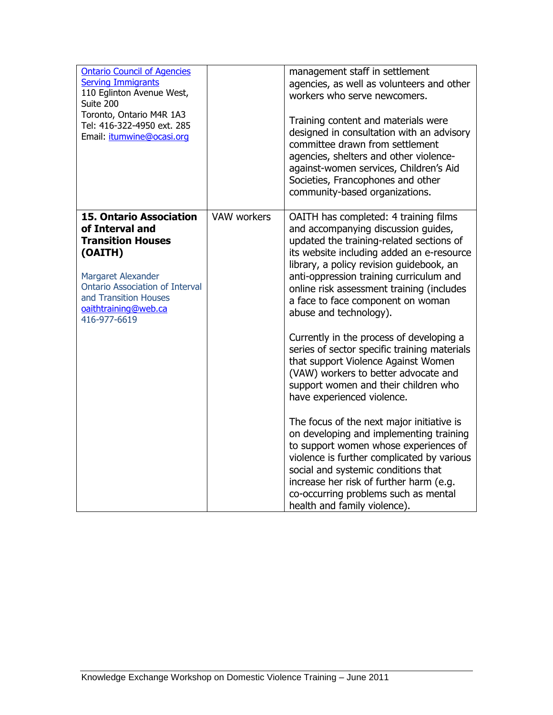| <b>Ontario Council of Agencies</b><br><b>Serving Immigrants</b><br>110 Eglinton Avenue West,<br>Suite 200<br>Toronto, Ontario M4R 1A3<br>Tel: 416-322-4950 ext. 285<br>Email: itumwine@ocasi.org                          |             | management staff in settlement<br>agencies, as well as volunteers and other<br>workers who serve newcomers.<br>Training content and materials were<br>designed in consultation with an advisory<br>committee drawn from settlement<br>agencies, shelters and other violence-<br>against-women services, Children's Aid<br>Societies, Francophones and other<br>community-based organizations. |
|---------------------------------------------------------------------------------------------------------------------------------------------------------------------------------------------------------------------------|-------------|-----------------------------------------------------------------------------------------------------------------------------------------------------------------------------------------------------------------------------------------------------------------------------------------------------------------------------------------------------------------------------------------------|
| <b>15. Ontario Association</b><br>of Interval and<br><b>Transition Houses</b><br>(OAITH)<br>Margaret Alexander<br><b>Ontario Association of Interval</b><br>and Transition Houses<br>oaithtraining@web.ca<br>416-977-6619 | VAW workers | OAITH has completed: 4 training films<br>and accompanying discussion guides,<br>updated the training-related sections of<br>its website including added an e-resource<br>library, a policy revision guidebook, an<br>anti-oppression training curriculum and<br>online risk assessment training (includes<br>a face to face component on woman<br>abuse and technology).                      |
|                                                                                                                                                                                                                           |             | Currently in the process of developing a<br>series of sector specific training materials<br>that support Violence Against Women<br>(VAW) workers to better advocate and<br>support women and their children who<br>have experienced violence.                                                                                                                                                 |
|                                                                                                                                                                                                                           |             | The focus of the next major initiative is<br>on developing and implementing training<br>to support women whose experiences of<br>violence is further complicated by various<br>social and systemic conditions that<br>increase her risk of further harm (e.g.<br>co-occurring problems such as mental<br>health and family violence).                                                         |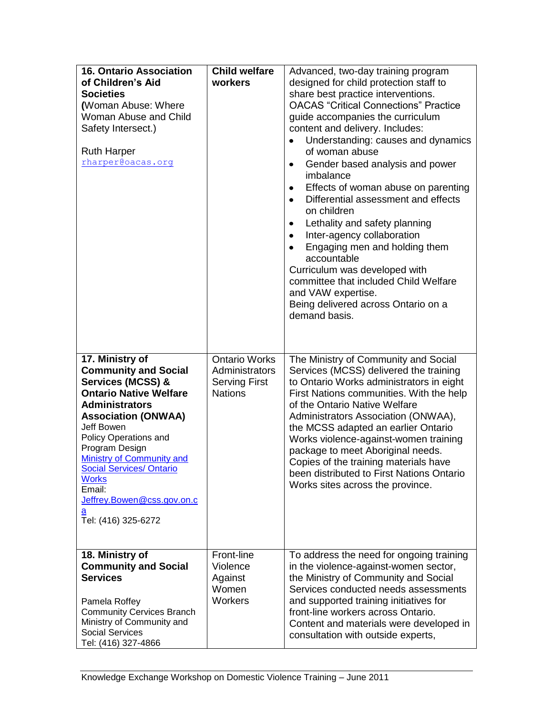| <b>16. Ontario Association</b><br>of Children's Aid<br><b>Societies</b><br>(Woman Abuse: Where<br>Woman Abuse and Child<br>Safety Intersect.)<br><b>Ruth Harper</b><br>rharper@oacas.org                                                                                                                                                                                                   | <b>Child welfare</b><br>workers                                                  | Advanced, two-day training program<br>designed for child protection staff to<br>share best practice interventions.<br><b>OACAS</b> "Critical Connections" Practice<br>guide accompanies the curriculum<br>content and delivery. Includes:<br>Understanding: causes and dynamics<br>of woman abuse<br>Gender based analysis and power<br>$\bullet$<br>imbalance<br>Effects of woman abuse on parenting<br>$\bullet$<br>Differential assessment and effects<br>on children<br>Lethality and safety planning<br>$\bullet$<br>Inter-agency collaboration<br>$\bullet$<br>Engaging men and holding them<br>$\bullet$<br>accountable<br>Curriculum was developed with<br>committee that included Child Welfare<br>and VAW expertise.<br>Being delivered across Ontario on a<br>demand basis. |
|--------------------------------------------------------------------------------------------------------------------------------------------------------------------------------------------------------------------------------------------------------------------------------------------------------------------------------------------------------------------------------------------|----------------------------------------------------------------------------------|----------------------------------------------------------------------------------------------------------------------------------------------------------------------------------------------------------------------------------------------------------------------------------------------------------------------------------------------------------------------------------------------------------------------------------------------------------------------------------------------------------------------------------------------------------------------------------------------------------------------------------------------------------------------------------------------------------------------------------------------------------------------------------------|
| 17. Ministry of<br><b>Community and Social</b><br><b>Services (MCSS) &amp;</b><br><b>Ontario Native Welfare</b><br><b>Administrators</b><br><b>Association (ONWAA)</b><br>Jeff Bowen<br>Policy Operations and<br>Program Design<br><b>Ministry of Community and</b><br><b>Social Services/ Ontario</b><br><b>Works</b><br>Email:<br>Jeffrey.Bowen@css.gov.on.c<br>а<br>Tel: (416) 325-6272 | <b>Ontario Works</b><br>Administrators<br><b>Serving First</b><br><b>Nations</b> | The Ministry of Community and Social<br>Services (MCSS) delivered the training<br>to Ontario Works administrators in eight<br>First Nations communities. With the help<br>of the Ontario Native Welfare<br>Administrators Association (ONWAA),<br>the MCSS adapted an earlier Ontario<br>Works violence-against-women training<br>package to meet Aboriginal needs.<br>Copies of the training materials have<br>been distributed to First Nations Ontario<br>Works sites across the province.                                                                                                                                                                                                                                                                                          |
| 18. Ministry of<br><b>Community and Social</b><br><b>Services</b><br>Pamela Roffey<br><b>Community Cervices Branch</b><br>Ministry of Community and<br><b>Social Services</b><br>Tel: (416) 327-4866                                                                                                                                                                                       | Front-line<br>Violence<br>Against<br>Women<br><b>Workers</b>                     | To address the need for ongoing training<br>in the violence-against-women sector,<br>the Ministry of Community and Social<br>Services conducted needs assessments<br>and supported training initiatives for<br>front-line workers across Ontario.<br>Content and materials were developed in<br>consultation with outside experts,                                                                                                                                                                                                                                                                                                                                                                                                                                                     |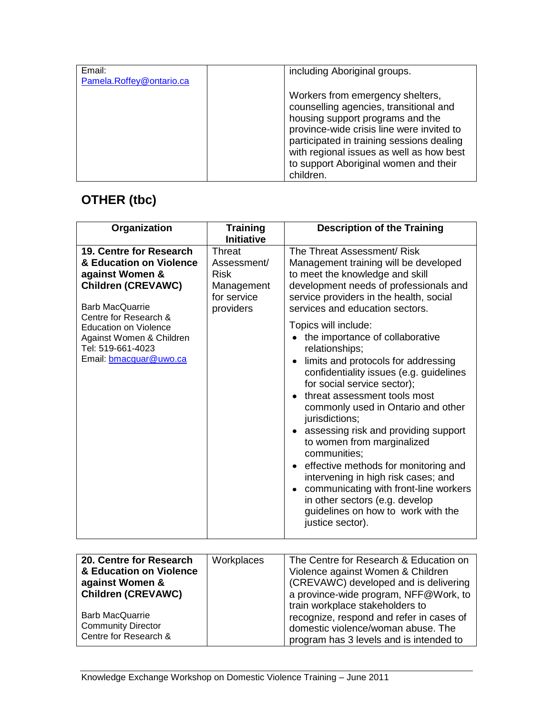| Email:<br>Pamela.Roffey@ontario.ca | including Aboriginal groups.                                                                                                                                                                                                                                                                               |
|------------------------------------|------------------------------------------------------------------------------------------------------------------------------------------------------------------------------------------------------------------------------------------------------------------------------------------------------------|
|                                    | Workers from emergency shelters,<br>counselling agencies, transitional and<br>housing support programs and the<br>province-wide crisis line were invited to<br>participated in training sessions dealing<br>with regional issues as well as how best<br>to support Aboriginal women and their<br>children. |

# **OTHER (tbc)**

| Organization                                                                                                                                                                          | <b>Training</b><br><b>Initiative</b>                                           | <b>Description of the Training</b>                                                                                                                                                                                                                                                                                                                                                                                                                                                                                                                                                    |
|---------------------------------------------------------------------------------------------------------------------------------------------------------------------------------------|--------------------------------------------------------------------------------|---------------------------------------------------------------------------------------------------------------------------------------------------------------------------------------------------------------------------------------------------------------------------------------------------------------------------------------------------------------------------------------------------------------------------------------------------------------------------------------------------------------------------------------------------------------------------------------|
| 19. Centre for Research<br>& Education on Violence<br>against Women &<br><b>Children (CREVAWC)</b><br><b>Barb MacQuarrie</b><br>Centre for Research &<br><b>Education on Violence</b> | Threat<br>Assessment/<br><b>Risk</b><br>Management<br>for service<br>providers | The Threat Assessment/ Risk<br>Management training will be developed<br>to meet the knowledge and skill<br>development needs of professionals and<br>service providers in the health, social<br>services and education sectors.<br>Topics will include:                                                                                                                                                                                                                                                                                                                               |
| Against Women & Children<br>Tel: 519-661-4023<br>Email: bmacquar@uwo.ca                                                                                                               |                                                                                | the importance of collaborative<br>relationships;<br>limits and protocols for addressing<br>confidentiality issues (e.g. guidelines<br>for social service sector);<br>threat assessment tools most<br>commonly used in Ontario and other<br>jurisdictions;<br>• assessing risk and providing support<br>to women from marginalized<br>communities;<br>• effective methods for monitoring and<br>intervening in high risk cases; and<br>communicating with front-line workers<br>$\bullet$<br>in other sectors (e.g. develop<br>guidelines on how to work with the<br>justice sector). |

| 20. Centre for Research                            | Workplaces | The Centre for Research & Education on   |
|----------------------------------------------------|------------|------------------------------------------|
| & Education on Violence                            |            | Violence against Women & Children        |
| against Women &                                    |            | (CREVAWC) developed and is delivering    |
| <b>Children (CREVAWC)</b>                          |            | a province-wide program, NFF@Work, to    |
|                                                    |            | train workplace stakeholders to          |
| <b>Barb MacQuarrie</b>                             |            | recognize, respond and refer in cases of |
| <b>Community Director</b><br>Centre for Research & |            | domestic violence/woman abuse. The       |
|                                                    |            | program has 3 levels and is intended to  |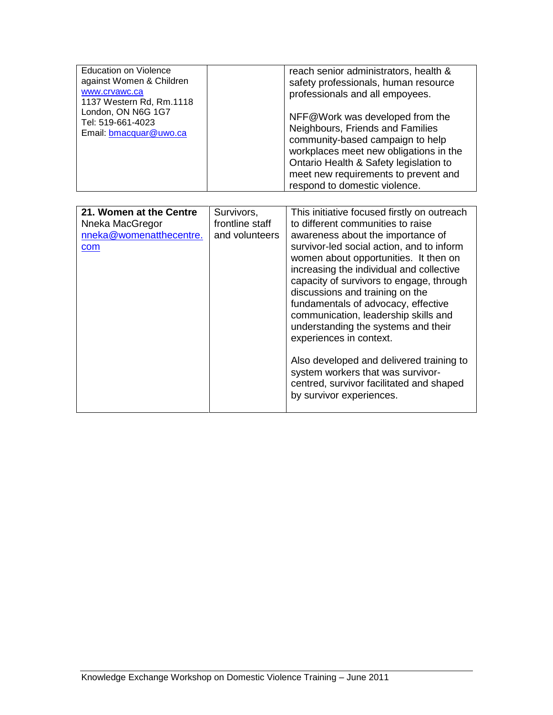| <b>Education on Violence</b>              | reach senior administrators, health &                                            |
|-------------------------------------------|----------------------------------------------------------------------------------|
| against Women & Children                  | safety professionals, human resource                                             |
| www.cryawc.ca<br>1137 Western Rd, Rm.1118 | professionals and all empoyees.                                                  |
| London, ON N6G 1G7<br>Tel: 519-661-4023   | NFF@Work was developed from the                                                  |
| Email: bmacquar@uwo.ca                    | Neighbours, Friends and Families                                                 |
|                                           | community-based campaign to help                                                 |
|                                           | workplaces meet new obligations in the<br>Ontario Health & Safety legislation to |
|                                           | meet new requirements to prevent and                                             |
|                                           | respond to domestic violence.                                                    |

| 21. Women at the Centre<br>Nneka MacGregor<br>nneka@womenatthecentre.<br>com | Survivors,<br>frontline staff<br>and volunteers | This initiative focused firstly on outreach<br>to different communities to raise<br>awareness about the importance of<br>survivor-led social action, and to inform<br>women about opportunities. It then on<br>increasing the individual and collective<br>capacity of survivors to engage, through<br>discussions and training on the<br>fundamentals of advocacy, effective<br>communication, leadership skills and<br>understanding the systems and their<br>experiences in context.<br>Also developed and delivered training to<br>system workers that was survivor- |
|------------------------------------------------------------------------------|-------------------------------------------------|--------------------------------------------------------------------------------------------------------------------------------------------------------------------------------------------------------------------------------------------------------------------------------------------------------------------------------------------------------------------------------------------------------------------------------------------------------------------------------------------------------------------------------------------------------------------------|
|                                                                              |                                                 | centred, survivor facilitated and shaped<br>by survivor experiences.                                                                                                                                                                                                                                                                                                                                                                                                                                                                                                     |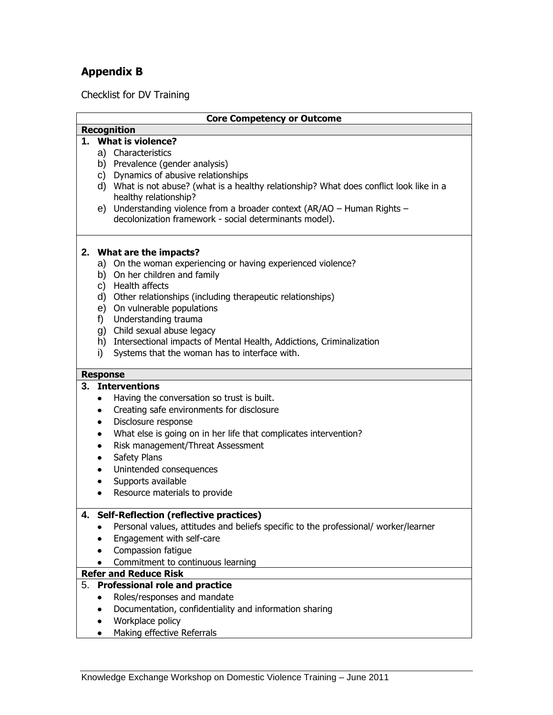## **Appendix B**

Checklist for DV Training

|    |           | <b>Core Competency or Outcome</b>                                                        |
|----|-----------|------------------------------------------------------------------------------------------|
|    |           | <b>Recognition</b>                                                                       |
|    |           | 1. What is violence?                                                                     |
|    |           | a) Characteristics                                                                       |
|    |           | b) Prevalence (gender analysis)                                                          |
|    |           | c) Dynamics of abusive relationships                                                     |
|    |           | d) What is not abuse? (what is a healthy relationship? What does conflict look like in a |
|    |           | healthy relationship?                                                                    |
|    |           | e) Understanding violence from a broader context (AR/AO - Human Rights -                 |
|    |           | decolonization framework - social determinants model).                                   |
|    |           |                                                                                          |
|    |           |                                                                                          |
|    |           | 2. What are the impacts?                                                                 |
|    |           | a) On the woman experiencing or having experienced violence?                             |
|    |           | b) On her children and family                                                            |
|    |           | c) Health affects                                                                        |
|    |           | d) Other relationships (including therapeutic relationships)                             |
|    |           | e) On vulnerable populations                                                             |
|    |           |                                                                                          |
|    |           | f) Understanding trauma                                                                  |
|    |           | g) Child sexual abuse legacy                                                             |
|    |           | h) Intersectional impacts of Mental Health, Addictions, Criminalization                  |
|    | i)        | Systems that the woman has to interface with.                                            |
|    |           |                                                                                          |
|    |           | <b>Response</b>                                                                          |
|    |           | 3. Interventions                                                                         |
|    | ٠         | Having the conversation so trust is built.                                               |
|    | ٠         | Creating safe environments for disclosure                                                |
|    | ٠         | Disclosure response                                                                      |
|    | $\bullet$ | What else is going on in her life that complicates intervention?                         |
|    | ٠         | Risk management/Threat Assessment                                                        |
|    | ٠         | Safety Plans                                                                             |
|    | ٠         | Unintended consequences                                                                  |
|    | ٠         | Supports available                                                                       |
|    | $\bullet$ | Resource materials to provide                                                            |
|    |           |                                                                                          |
|    |           | 4. Self-Reflection (reflective practices)                                                |
|    |           | Personal values, attitudes and beliefs specific to the professional/ worker/learner      |
|    |           | Engagement with self-care                                                                |
|    | ٠         | Compassion fatigue                                                                       |
|    |           |                                                                                          |
|    | ٠         | Commitment to continuous learning                                                        |
|    |           | <b>Refer and Reduce Risk</b>                                                             |
| 5. |           | <b>Professional role and practice</b>                                                    |
|    | $\bullet$ | Roles/responses and mandate                                                              |
|    | ٠         | Documentation, confidentiality and information sharing                                   |
|    | ٠         | Workplace policy                                                                         |

• Making effective Referrals